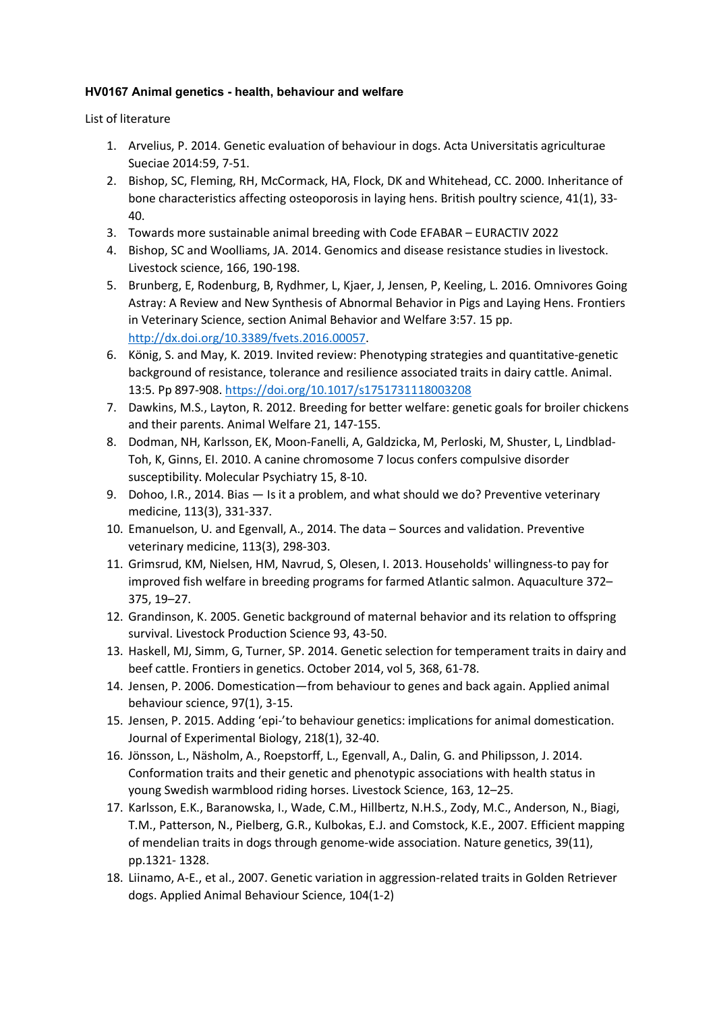## **HV0167 Animal genetics - health, behaviour and welfare**

List of literature

- 1. Arvelius, P. 2014. Genetic evaluation of behaviour in dogs. Acta Universitatis agriculturae Sueciae 2014:59, 7-51.
- 2. Bishop, SC, Fleming, RH, McCormack, HA, Flock, DK and Whitehead, CC. 2000. Inheritance of bone characteristics affecting osteoporosis in laying hens. British poultry science, 41(1), 33- 40.
- 3. Towards more sustainable animal breeding with Code EFABAR EURACTIV 2022
- 4. Bishop, SC and Woolliams, JA. 2014. Genomics and disease resistance studies in livestock. Livestock science, 166, 190-198.
- 5. Brunberg, E, Rodenburg, B, Rydhmer, L, Kjaer, J, Jensen, P, Keeling, L. 2016. Omnivores Going Astray: A Review and New Synthesis of Abnormal Behavior in Pigs and Laying Hens. Frontiers in Veterinary Science, section Animal Behavior and Welfare 3:57. 15 pp. http://dx.doi.org/10.3389/fvets.2016.00057.
- 6. König, S. and May, K. 2019. Invited review: Phenotyping strategies and quantitative-genetic background of resistance, tolerance and resilience associated traits in dairy cattle. Animal. 13:5. Pp 897-908. https://doi.org/10.1017/s1751731118003208
- 7. Dawkins, M.S., Layton, R. 2012. Breeding for better welfare: genetic goals for broiler chickens and their parents. Animal Welfare 21, 147-155.
- 8. Dodman, NH, Karlsson, EK, Moon-Fanelli, A, Galdzicka, M, Perloski, M, Shuster, L, Lindblad-Toh, K, Ginns, EI. 2010. A canine chromosome 7 locus confers compulsive disorder susceptibility. Molecular Psychiatry 15, 8-10.
- 9. Dohoo, I.R., 2014. Bias Is it a problem, and what should we do? Preventive veterinary medicine, 113(3), 331-337.
- 10. Emanuelson, U. and Egenvall, A., 2014. The data Sources and validation. Preventive veterinary medicine, 113(3), 298-303.
- 11. Grimsrud, KM, Nielsen, HM, Navrud, S, Olesen, I. 2013. Households' willingness-to pay for improved fish welfare in breeding programs for farmed Atlantic salmon. Aquaculture 372– 375, 19–27.
- 12. Grandinson, K. 2005. Genetic background of maternal behavior and its relation to offspring survival. Livestock Production Science 93, 43-50.
- 13. Haskell, MJ, Simm, G, Turner, SP. 2014. Genetic selection for temperament traits in dairy and beef cattle. Frontiers in genetics. October 2014, vol 5, 368, 61-78.
- 14. Jensen, P. 2006. Domestication—from behaviour to genes and back again. Applied animal behaviour science, 97(1), 3-15.
- 15. Jensen, P. 2015. Adding 'epi-'to behaviour genetics: implications for animal domestication. Journal of Experimental Biology, 218(1), 32-40.
- 16. Jönsson, L., Näsholm, A., Roepstorff, L., Egenvall, A., Dalin, G. and Philipsson, J. 2014. Conformation traits and their genetic and phenotypic associations with health status in young Swedish warmblood riding horses. Livestock Science, 163, 12–25.
- 17. Karlsson, E.K., Baranowska, I., Wade, C.M., Hillbertz, N.H.S., Zody, M.C., Anderson, N., Biagi, T.M., Patterson, N., Pielberg, G.R., Kulbokas, E.J. and Comstock, K.E., 2007. Efficient mapping of mendelian traits in dogs through genome-wide association. Nature genetics, 39(11), pp.1321- 1328.
- 18. Liinamo, A-E., et al., 2007. Genetic variation in aggression-related traits in Golden Retriever dogs. Applied Animal Behaviour Science, 104(1-2)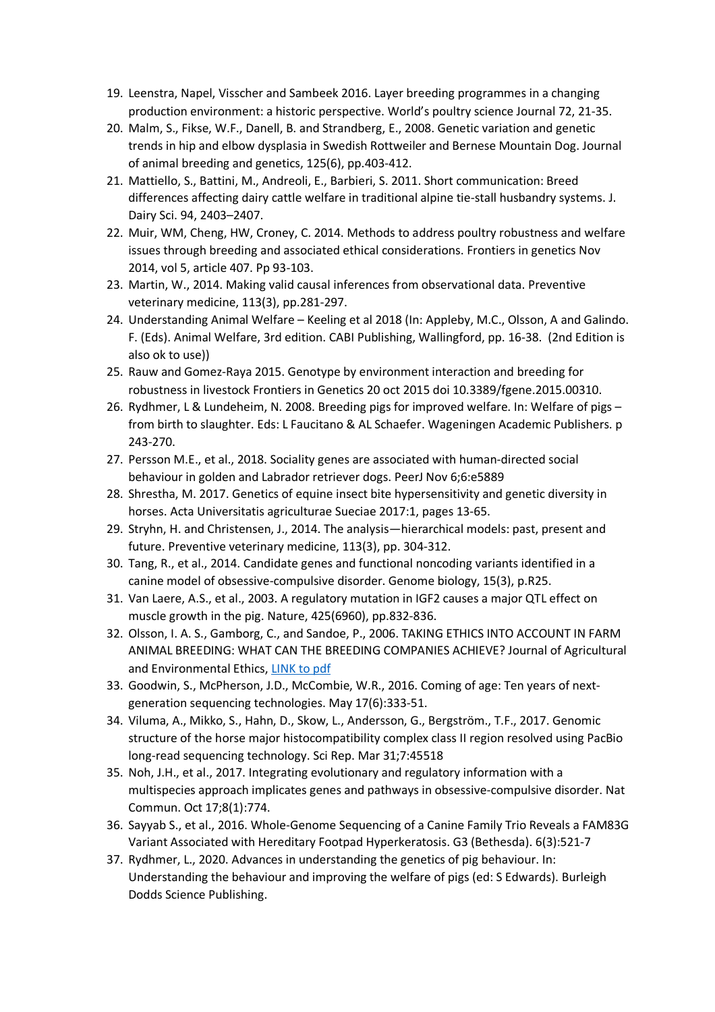- 19. Leenstra, Napel, Visscher and Sambeek 2016. Layer breeding programmes in a changing production environment: a historic perspective. World's poultry science Journal 72, 21-35.
- 20. Malm, S., Fikse, W.F., Danell, B. and Strandberg, E., 2008. Genetic variation and genetic trends in hip and elbow dysplasia in Swedish Rottweiler and Bernese Mountain Dog. Journal of animal breeding and genetics, 125(6), pp.403-412.
- 21. Mattiello, S., Battini, M., Andreoli, E., Barbieri, S. 2011. Short communication: Breed differences affecting dairy cattle welfare in traditional alpine tie-stall husbandry systems. J. Dairy Sci. 94, 2403–2407.
- 22. Muir, WM, Cheng, HW, Croney, C. 2014. Methods to address poultry robustness and welfare issues through breeding and associated ethical considerations. Frontiers in genetics Nov 2014, vol 5, article 407. Pp 93-103.
- 23. Martin, W., 2014. Making valid causal inferences from observational data. Preventive veterinary medicine, 113(3), pp.281-297.
- 24. Understanding Animal Welfare Keeling et al 2018 (In: Appleby, M.C., Olsson, A and Galindo. F. (Eds). Animal Welfare, 3rd edition. CABI Publishing, Wallingford, pp. 16-38. (2nd Edition is also ok to use))
- 25. Rauw and Gomez-Raya 2015. Genotype by environment interaction and breeding for robustness in livestock Frontiers in Genetics 20 oct 2015 doi 10.3389/fgene.2015.00310.
- 26. Rydhmer, L & Lundeheim, N. 2008. Breeding pigs for improved welfare. In: Welfare of pigs from birth to slaughter. Eds: L Faucitano & AL Schaefer. Wageningen Academic Publishers. p 243-270.
- 27. Persson M.E., et al., 2018. Sociality genes are associated with human-directed social behaviour in golden and Labrador retriever dogs. PeerJ Nov 6;6:e5889
- 28. Shrestha, M. 2017. Genetics of equine insect bite hypersensitivity and genetic diversity in horses. Acta Universitatis agriculturae Sueciae 2017:1, pages 13-65.
- 29. Stryhn, H. and Christensen, J., 2014. The analysis—hierarchical models: past, present and future. Preventive veterinary medicine, 113(3), pp. 304-312.
- 30. Tang, R., et al., 2014. Candidate genes and functional noncoding variants identified in a canine model of obsessive-compulsive disorder. Genome biology, 15(3), p.R25.
- 31. Van Laere, A.S., et al., 2003. A regulatory mutation in IGF2 causes a major QTL effect on muscle growth in the pig. Nature, 425(6960), pp.832-836.
- 32. Olsson, I. A. S., Gamborg, C., and Sandoe, P., 2006. TAKING ETHICS INTO ACCOUNT IN FARM ANIMAL BREEDING: WHAT CAN THE BREEDING COMPANIES ACHIEVE? Journal of Agricultural and Environmental Ethics, LINK to pdf
- 33. Goodwin, S., McPherson, J.D., McCombie, W.R., 2016. Coming of age: Ten years of nextgeneration sequencing technologies. May 17(6):333-51.
- 34. Viluma, A., Mikko, S., Hahn, D., Skow, L., Andersson, G., Bergström., T.F., 2017. Genomic structure of the horse major histocompatibility complex class II region resolved using PacBio long-read sequencing technology. Sci Rep. Mar 31;7:45518
- 35. Noh, J.H., et al., 2017. Integrating evolutionary and regulatory information with a multispecies approach implicates genes and pathways in obsessive-compulsive disorder. Nat Commun. Oct 17;8(1):774.
- 36. Sayyab S., et al., 2016. Whole-Genome Sequencing of a Canine Family Trio Reveals a FAM83G Variant Associated with Hereditary Footpad Hyperkeratosis. G3 (Bethesda). 6(3):521-7
- 37. Rydhmer, L., 2020. Advances in understanding the genetics of pig behaviour. In: Understanding the behaviour and improving the welfare of pigs (ed: S Edwards). Burleigh Dodds Science Publishing.